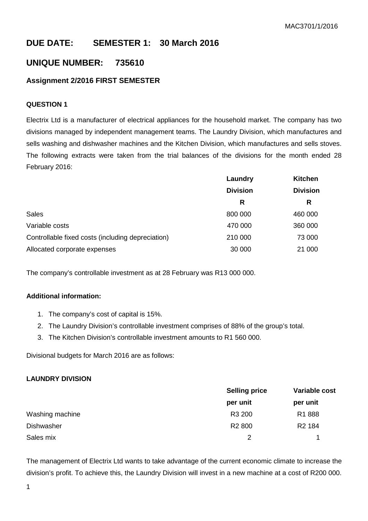# **DUE DATE: SEMESTER 1: 30 March 2016**

## **UNIQUE NUMBER: 735610**

## **Assignment 2/2016 FIRST SEMESTER**

## **QUESTION 1**

Electrix Ltd is a manufacturer of electrical appliances for the household market. The company has two divisions managed by independent management teams. The Laundry Division, which manufactures and sells washing and dishwasher machines and the Kitchen Division, which manufactures and sells stoves. The following extracts were taken from the trial balances of the divisions for the month ended 28 February 2016:

|                                                   | Laundry         | <b>Kitchen</b><br><b>Division</b> |  |
|---------------------------------------------------|-----------------|-----------------------------------|--|
|                                                   | <b>Division</b> |                                   |  |
|                                                   | R               | R                                 |  |
| <b>Sales</b>                                      | 800 000         | 460 000                           |  |
| Variable costs                                    | 470 000         | 360 000                           |  |
| Controllable fixed costs (including depreciation) | 210 000         | 73 000                            |  |
| Allocated corporate expenses                      | 30 000          | 21 000                            |  |

The company's controllable investment as at 28 February was R13 000 000.

## **Additional information:**

- 1. The company's cost of capital is 15%.
- 2. The Laundry Division's controllable investment comprises of 88% of the group's total.
- 3. The Kitchen Division's controllable investment amounts to R1 560 000.

Divisional budgets for March 2016 are as follows:

#### **LAUNDRY DIVISION**

|                 | <b>Selling price</b> | Variable cost      |  |
|-----------------|----------------------|--------------------|--|
|                 | per unit             | per unit           |  |
| Washing machine | R3 200               | R <sub>1</sub> 888 |  |
| Dishwasher      | R <sub>2</sub> 800   | R <sub>2</sub> 184 |  |
| Sales mix       | $\mathcal{P}$        |                    |  |

The management of Electrix Ltd wants to take advantage of the current economic climate to increase the division's profit. To achieve this, the Laundry Division will invest in a new machine at a cost of R200 000.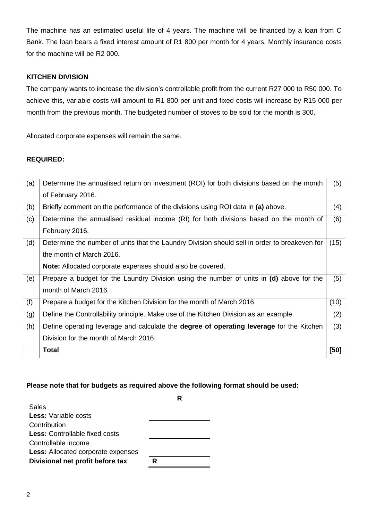The machine has an estimated useful life of 4 years. The machine will be financed by a loan from C Bank. The loan bears a fixed interest amount of R1 800 per month for 4 years. Monthly insurance costs for the machine will be R2 000.

## **KITCHEN DIVISION**

The company wants to increase the division's controllable profit from the current R27 000 to R50 000. To achieve this, variable costs will amount to R1 800 per unit and fixed costs will increase by R15 000 per month from the previous month. The budgeted number of stoves to be sold for the month is 300.

Allocated corporate expenses will remain the same.

## **REQUIRED:**

| (a) | Determine the annualised return on investment (ROI) for both divisions based on the month       | (5)  |
|-----|-------------------------------------------------------------------------------------------------|------|
|     | of February 2016.                                                                               |      |
| (b) | Briefly comment on the performance of the divisions using ROI data in (a) above.                | (4)  |
| (c) | Determine the annualised residual income (RI) for both divisions based on the month of          | (6)  |
|     | February 2016.                                                                                  |      |
| (d) | Determine the number of units that the Laundry Division should sell in order to breakeven for   | (15) |
|     | the month of March 2016.                                                                        |      |
|     | <b>Note:</b> Allocated corporate expenses should also be covered.                               |      |
| (e) | Prepare a budget for the Laundry Division using the number of units in (d) above for the        | (5)  |
|     | month of March 2016.                                                                            |      |
| (f) | Prepare a budget for the Kitchen Division for the month of March 2016.                          | (10) |
| (g) | Define the Controllability principle. Make use of the Kitchen Division as an example.           | (2)  |
| (h) | Define operating leverage and calculate the <b>degree of operating leverage</b> for the Kitchen | (3)  |
|     | Division for the month of March 2016.                                                           |      |
|     | <b>Total</b>                                                                                    | [50] |

#### **Please note that for budgets as required above the following format should be used:**

| Sales                                     |   |
|-------------------------------------------|---|
| <b>Less:</b> Variable costs               |   |
| Contribution                              |   |
| <b>Less:</b> Controllable fixed costs     |   |
| Controllable income                       |   |
| <b>Less:</b> Allocated corporate expenses |   |
| Divisional net profit before tax          | R |
|                                           |   |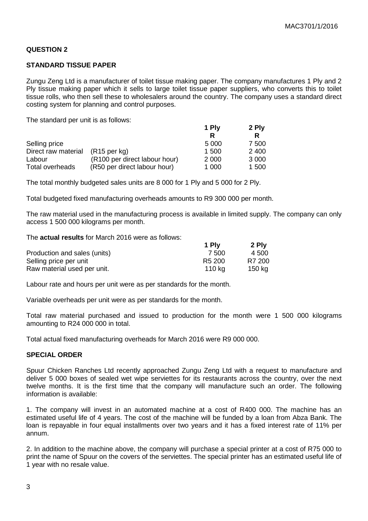### **QUESTION 2**

#### **STANDARD TISSUE PAPER**

Zungu Zeng Ltd is a manufacturer of toilet tissue making paper. The company manufactures 1 Ply and 2 Ply tissue making paper which it sells to large toilet tissue paper suppliers, who converts this to toilet tissue rolls, who then sell these to wholesalers around the country. The company uses a standard direct costing system for planning and control purposes.

The standard per unit is as follows:

|                        |                               | 1 Ply   | 2 Ply   |
|------------------------|-------------------------------|---------|---------|
|                        |                               |         |         |
| Selling price          |                               | 5 000   | 7 500   |
| Direct raw material    | $(R15 \text{ per kg})$        | 1 500   | 2 4 0 0 |
| Labour                 | (R100 per direct labour hour) | 2 0 0 0 | 3 0 0 0 |
| <b>Total overheads</b> | (R50 per direct labour hour)  | 1 000   | 1 500   |

The total monthly budgeted sales units are 8 000 for 1 Ply and 5 000 for 2 Ply.

Total budgeted fixed manufacturing overheads amounts to R9 300 000 per month.

The raw material used in the manufacturing process is available in limited supply. The company can only access 1 500 000 kilograms per month.

The **actual results** for March 2016 were as follows:

|                              | 1 Ply              | 2 Ply  |
|------------------------------|--------------------|--------|
| Production and sales (units) | 7.500              | 4 500  |
| Selling price per unit       | R <sub>5</sub> 200 | R7 200 |
| Raw material used per unit.  | 110 ka             | 150 kg |

Labour rate and hours per unit were as per standards for the month.

Variable overheads per unit were as per standards for the month.

Total raw material purchased and issued to production for the month were 1 500 000 kilograms amounting to R24 000 000 in total.

Total actual fixed manufacturing overheads for March 2016 were R9 000 000.

#### **SPECIAL ORDER**

Spuur Chicken Ranches Ltd recently approached Zungu Zeng Ltd with a request to manufacture and deliver 5 000 boxes of sealed wet wipe serviettes for its restaurants across the country, over the next twelve months. It is the first time that the company will manufacture such an order. The following information is available:

1. The company will invest in an automated machine at a cost of R400 000. The machine has an estimated useful life of 4 years. The cost of the machine will be funded by a loan from Abza Bank. The loan is repayable in four equal installments over two years and it has a fixed interest rate of 11% per annum.

2. In addition to the machine above, the company will purchase a special printer at a cost of R75 000 to print the name of Spuur on the covers of the serviettes. The special printer has an estimated useful life of 1 year with no resale value.